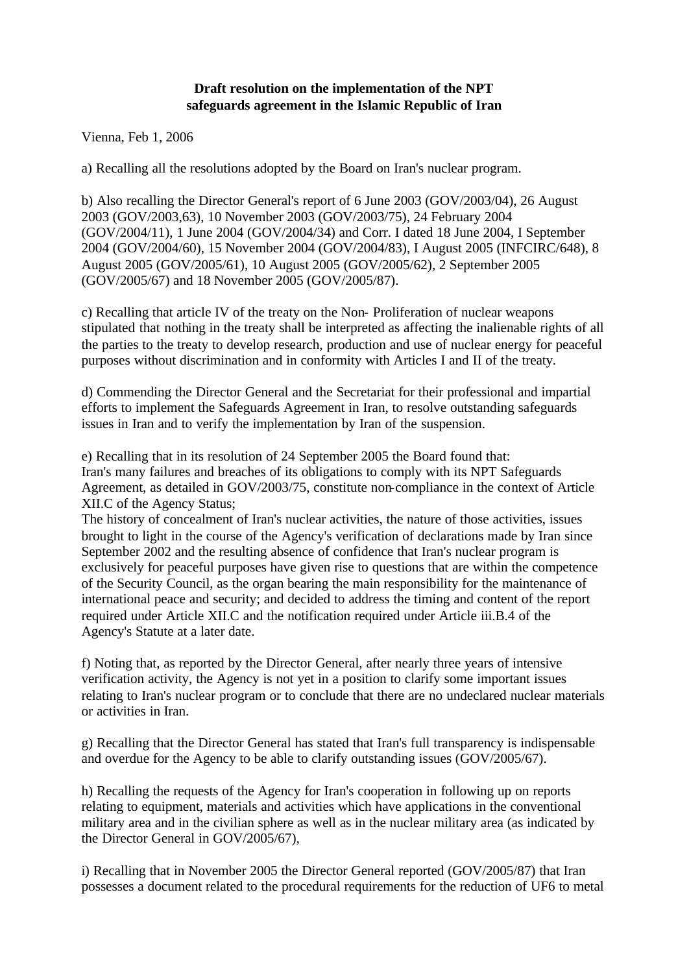## **Draft resolution on the implementation of the NPT safeguards agreement in the Islamic Republic of Iran**

Vienna, Feb 1, 2006

a) Recalling all the resolutions adopted by the Board on Iran's nuclear program.

b) Also recalling the Director General's report of 6 June 2003 (GOV/2003/04), 26 August 2003 (GOV/2003,63), 10 November 2003 (GOV/2003/75), 24 February 2004 (GOV/2004/11), 1 June 2004 (GOV/2004/34) and Corr. I dated 18 June 2004, I September 2004 (GOV/2004/60), 15 November 2004 (GOV/2004/83), I August 2005 (INFCIRC/648), 8 August 2005 (GOV/2005/61), 10 August 2005 (GOV/2005/62), 2 September 2005 (GOV/2005/67) and 18 November 2005 (GOV/2005/87).

c) Recalling that article IV of the treaty on the Non- Proliferation of nuclear weapons stipulated that nothing in the treaty shall be interpreted as affecting the inalienable rights of all the parties to the treaty to develop research, production and use of nuclear energy for peaceful purposes without discrimination and in conformity with Articles I and II of the treaty.

d) Commending the Director General and the Secretariat for their professional and impartial efforts to implement the Safeguards Agreement in Iran, to resolve outstanding safeguards issues in Iran and to verify the implementation by Iran of the suspension.

e) Recalling that in its resolution of 24 September 2005 the Board found that: Iran's many failures and breaches of its obligations to comply with its NPT Safeguards Agreement, as detailed in GOV/2003/75, constitute non-compliance in the context of Article XII.C of the Agency Status;

The history of concealment of Iran's nuclear activities, the nature of those activities, issues brought to light in the course of the Agency's verification of declarations made by Iran since September 2002 and the resulting absence of confidence that Iran's nuclear program is exclusively for peaceful purposes have given rise to questions that are within the competence of the Security Council, as the organ bearing the main responsibility for the maintenance of international peace and security; and decided to address the timing and content of the report required under Article XII.C and the notification required under Article iii.B.4 of the Agency's Statute at a later date.

f) Noting that, as reported by the Director General, after nearly three years of intensive verification activity, the Agency is not yet in a position to clarify some important issues relating to Iran's nuclear program or to conclude that there are no undeclared nuclear materials or activities in Iran.

g) Recalling that the Director General has stated that Iran's full transparency is indispensable and overdue for the Agency to be able to clarify outstanding issues (GOV/2005/67).

h) Recalling the requests of the Agency for Iran's cooperation in following up on reports relating to equipment, materials and activities which have applications in the conventional military area and in the civilian sphere as well as in the nuclear military area (as indicated by the Director General in GOV/2005/67),

i) Recalling that in November 2005 the Director General reported (GOV/2005/87) that Iran possesses a document related to the procedural requirements for the reduction of UF6 to metal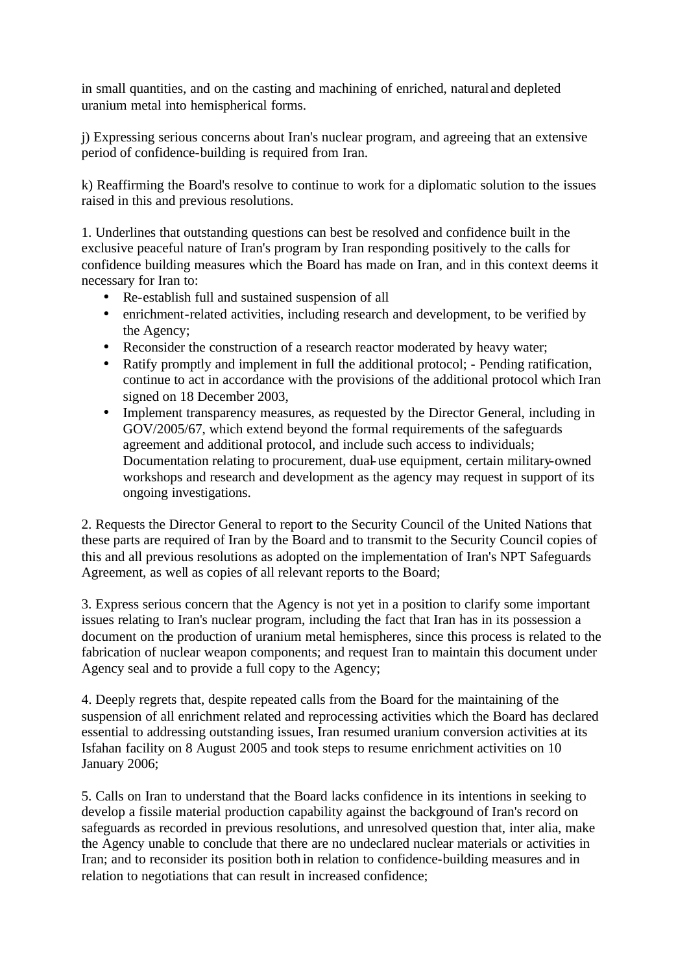in small quantities, and on the casting and machining of enriched, natural and depleted uranium metal into hemispherical forms.

j) Expressing serious concerns about Iran's nuclear program, and agreeing that an extensive period of confidence-building is required from Iran.

k) Reaffirming the Board's resolve to continue to work for a diplomatic solution to the issues raised in this and previous resolutions.

1. Underlines that outstanding questions can best be resolved and confidence built in the exclusive peaceful nature of Iran's program by Iran responding positively to the calls for confidence building measures which the Board has made on Iran, and in this context deems it necessary for Iran to:

- Re-establish full and sustained suspension of all
- enrichment-related activities, including research and development, to be verified by the Agency;
- Reconsider the construction of a research reactor moderated by heavy water;
- Ratify promptly and implement in full the additional protocol; Pending ratification, continue to act in accordance with the provisions of the additional protocol which Iran signed on 18 December 2003,
- Implement transparency measures, as requested by the Director General, including in GOV/2005/67, which extend beyond the formal requirements of the safeguards agreement and additional protocol, and include such access to individuals; Documentation relating to procurement, dual-use equipment, certain military-owned workshops and research and development as the agency may request in support of its ongoing investigations.

2. Requests the Director General to report to the Security Council of the United Nations that these parts are required of Iran by the Board and to transmit to the Security Council copies of this and all previous resolutions as adopted on the implementation of Iran's NPT Safeguards Agreement, as well as copies of all relevant reports to the Board;

3. Express serious concern that the Agency is not yet in a position to clarify some important issues relating to Iran's nuclear program, including the fact that Iran has in its possession a document on the production of uranium metal hemispheres, since this process is related to the fabrication of nuclear weapon components; and request Iran to maintain this document under Agency seal and to provide a full copy to the Agency;

4. Deeply regrets that, despite repeated calls from the Board for the maintaining of the suspension of all enrichment related and reprocessing activities which the Board has declared essential to addressing outstanding issues, Iran resumed uranium conversion activities at its Isfahan facility on 8 August 2005 and took steps to resume enrichment activities on 10 January 2006;

5. Calls on Iran to understand that the Board lacks confidence in its intentions in seeking to develop a fissile material production capability against the background of Iran's record on safeguards as recorded in previous resolutions, and unresolved question that, inter alia, make the Agency unable to conclude that there are no undeclared nuclear materials or activities in Iran; and to reconsider its position both in relation to confidence-building measures and in relation to negotiations that can result in increased confidence;